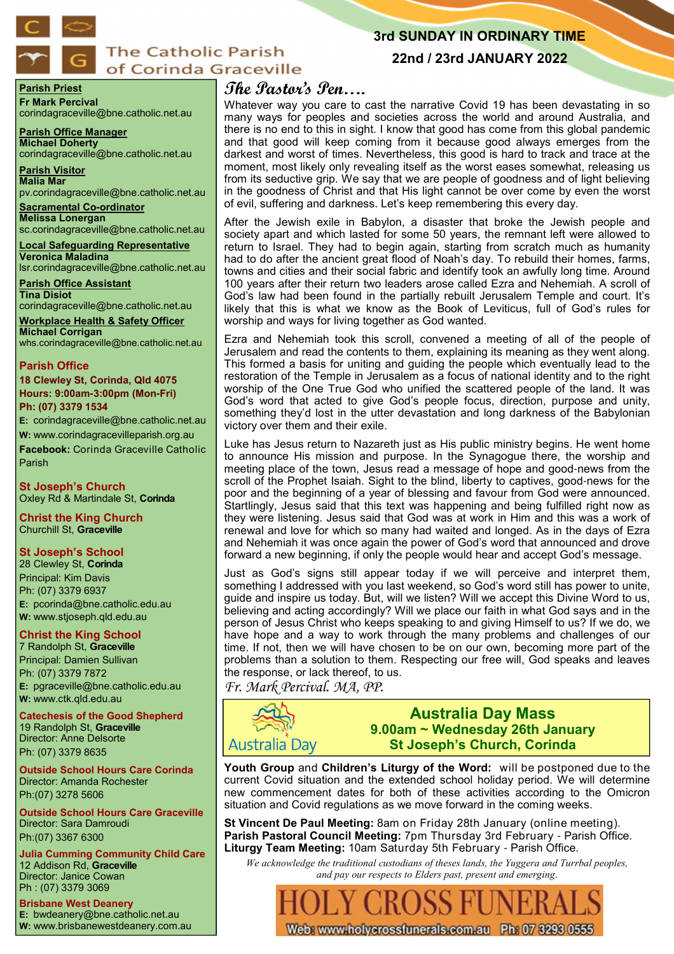

## **The Catholic Parish** of Corinda Graceville

## **3rd SUNDAY IN ORDINARY TIME**

## **22nd / 23rd JANUARY 2022**

**Parish Priest Fr Mark Percival** corindagraceville@bne.catholic.net.au

**Parish Office Manager Michael Doherty**

corindagraceville@bne.catholic.net.au

**Parish Visitor Malia Mar**  pv.corindagraceville@bne.catholic.net.au

**Sacramental Co-ordinator Melissa Lonergan**  sc.corindagraceville@bne.catholic.net.au

**Local Safeguarding Representative Veronica Maladina** lsr.corindagraceville@bne.catholic.net.au

**Parish Office Assistant Tina Disiot** 

corindagraceville@bne.catholic.net.au **Workplace Health & Safety Officer**

**Michael Corrigan** whs.corindagraceville@bne.catholic.net.au

#### **Parish Office**

**18 Clewley St, Corinda, Qld 4075 Hours: 9:00am-3:00pm (Mon-Fri) Ph: (07) 3379 1534**

**E:** corindagraceville@bne.catholic.net.au **W:** www.corindagracevilleparish.org.au

**Facebook:** Corinda Graceville Catholic Parish

**St Joseph's Church** Oxley Rd & Martindale St, **Corinda**

**Christ the King Church** Churchill St, **Graceville**

### **St Joseph's School**

28 Clewley St, **Corinda** Principal: Kim Davis Ph: (07) 3379 6937 **E:** pcorinda@bne.catholic.edu.au **W:** www.stjoseph.qld.edu.au

## **Christ the King School**

7 Randolph St, **Graceville** Principal: Damien Sullivan Ph: (07) 3379 7872 **E:** pgraceville@bne.catholic.edu.au **W:** www.ctk.qld.edu.au

**Catechesis of the Good Shepherd**  19 Randolph St, **Graceville**  Director: Anne Delsorte Ph: (07) 3379 8635

**Outside School Hours Care Corinda**  Director: Amanda Rochester Ph:(07) 3278 5606

**Outside School Hours Care Graceville**  Director: Sara Damroudi Ph:(07) 3367 6300

**Julia Cumming Community Child Care**  12 Addison Rd, **Graceville**  Director: Janice Cowan Ph : (07) 3379 3069

**Brisbane West Deanery E:** bwdeanery@bne.catholic.net.au **W:** www.brisbanewestdeanery.com.au

# **The Pastor's Pen….**

Whatever way you care to cast the narrative Covid 19 has been devastating in so many ways for peoples and societies across the world and around Australia, and there is no end to this in sight. I know that good has come from this global pandemic and that good will keep coming from it because good always emerges from the darkest and worst of times. Nevertheless, this good is hard to track and trace at the moment, most likely only revealing itself as the worst eases somewhat, releasing us from its seductive grip. We say that we are people of goodness and of light believing in the goodness of Christ and that His light cannot be over come by even the worst of evil, suffering and darkness. Let's keep remembering this every day.

After the Jewish exile in Babylon, a disaster that broke the Jewish people and society apart and which lasted for some 50 years, the remnant left were allowed to return to Israel. They had to begin again, starting from scratch much as humanity had to do after the ancient great flood of Noah's day. To rebuild their homes, farms, towns and cities and their social fabric and identify took an awfully long time. Around 100 years after their return two leaders arose called Ezra and Nehemiah. A scroll of God's law had been found in the partially rebuilt Jerusalem Temple and court. It's likely that this is what we know as the Book of Leviticus, full of God's rules for worship and ways for living together as God wanted.

Ezra and Nehemiah took this scroll, convened a meeting of all of the people of Jerusalem and read the contents to them, explaining its meaning as they went along. This formed a basis for uniting and guiding the people which eventually lead to the restoration of the Temple in Jerusalem as a focus of national identity and to the right worship of the One True God who unified the scattered people of the land. It was God's word that acted to give God's people focus, direction, purpose and unity, something they'd lost in the utter devastation and long darkness of the Babylonian victory over them and their exile.

Luke has Jesus return to Nazareth just as His public ministry begins. He went home to announce His mission and purpose. In the Synagogue there, the worship and meeting place of the town, Jesus read a message of hope and good-news from the scroll of the Prophet Isaiah. Sight to the blind, liberty to captives, good-news for the poor and the beginning of a year of blessing and favour from God were announced. Startlingly, Jesus said that this text was happening and being fulfilled right now as they were listening. Jesus said that God was at work in Him and this was a work of renewal and love for which so many had waited and longed. As in the days of Ezra and Nehemiah it was once again the power of God's word that announced and drove forward a new beginning, if only the people would hear and accept God's message.

Just as God's signs still appear today if we will perceive and interpret them, something I addressed with you last weekend, so God's word still has power to unite, guide and inspire us today. But, will we listen? Will we accept this Divine Word to us, believing and acting accordingly? Will we place our faith in what God says and in the person of Jesus Christ who keeps speaking to and giving Himself to us? If we do, we have hope and a way to work through the many problems and challenges of our time. If not, then we will have chosen to be on our own, becoming more part of the problems than a solution to them. Respecting our free will, God speaks and leaves the response, or lack thereof, to us.

*Fr. Mark Percival. MA, PP.* 



## **Australia Day Mass 9.00am ~ Wednesday 26th January St Joseph's Church, Corinda**

**Youth Group** and **Children's Liturgy of the Word:** will be postponed due to the current Covid situation and the extended school holiday period. We will determine new commencement dates for both of these activities according to the Omicron situation and Covid regulations as we move forward in the coming weeks.

**St Vincent De Paul Meeting:** 8am on Friday 28th January (online meeting). **Parish Pastoral Council Meeting:** 7pm Thursday 3rd February - Parish Office. **Liturgy Team Meeting:** 10am Saturday 5th February - Parish Office.

*We acknowledge the traditional custodians of theses lands, the Yuggera and Turrbal peoples, and pay our respects to Elders past, present and emerging*.